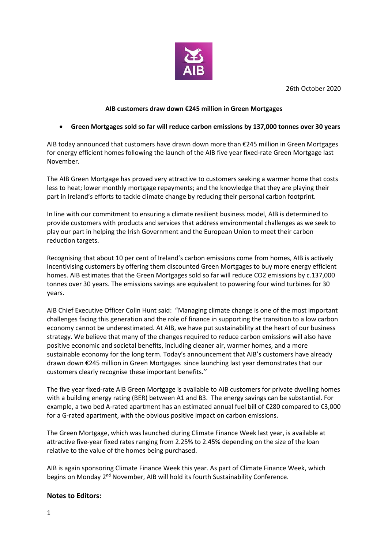

26th October 2020

## **AIB customers draw down €245 million in Green Mortgages**

## **Green Mortgages sold so far will reduce carbon emissions by 137,000 tonnes over 30 years**

AIB today announced that customers have drawn down more than €245 million in Green Mortgages for energy efficient homes following the launch of the AIB five year fixed-rate Green Mortgage last November.

The AIB Green Mortgage has proved very attractive to customers seeking a warmer home that costs less to heat; lower monthly mortgage repayments; and the knowledge that they are playing their part in Ireland's efforts to tackle climate change by reducing their personal carbon footprint.

In line with our commitment to ensuring a climate resilient business model, AIB is determined to provide customers with products and services that address environmental challenges as we seek to play our part in helping the Irish Government and the European Union to meet their carbon reduction targets.

Recognising that about 10 per cent of Ireland's carbon emissions come from homes, AIB is actively incentivising customers by offering them discounted Green Mortgages to buy more energy efficient homes. AIB estimates that the Green Mortgages sold so far will reduce CO2 emissions by c.137,000 tonnes over 30 years. The emissions savings are equivalent to powering four wind turbines for 30 years.

AIB Chief Executive Officer Colin Hunt said: "Managing climate change is one of the most important challenges facing this generation and the role of finance in supporting the transition to a low carbon economy cannot be underestimated. At AIB, we have put sustainability at the heart of our business strategy. We believe that many of the changes required to reduce carbon emissions will also have positive economic and societal benefits, including cleaner air, warmer homes, and a more sustainable economy for the long term. Today's announcement that AIB's customers have already drawn down €245 million in Green Mortgages since launching last year demonstrates that our customers clearly recognise these important benefits.''

The five year fixed-rate AIB Green Mortgage is available to AIB customers for private dwelling homes with a building energy rating (BER) between A1 and B3. The energy savings can be substantial. For example, a two bed A-rated apartment has an estimated annual fuel bill of €280 compared to €3,000 for a G-rated apartment, with the obvious positive impact on carbon emissions.

The Green Mortgage, which was launched during Climate Finance Week last year, is available at attractive five-year fixed rates ranging from 2.25% to 2.45% depending on the size of the loan relative to the value of the homes being purchased.

AIB is again sponsoring Climate Finance Week this year. As part of Climate Finance Week, which begins on Monday 2<sup>nd</sup> November, AIB will hold its fourth Sustainability Conference.

# **Notes to Editors:**